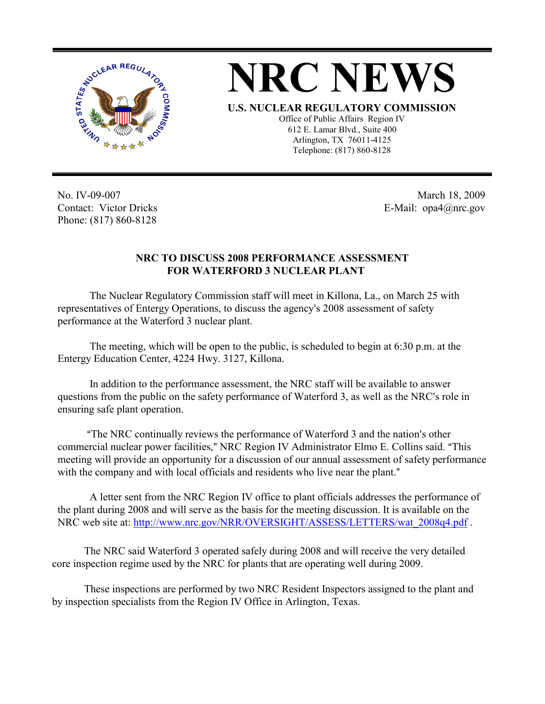

## **NRC NEWS**

**U.S. NUCLEAR REGULATORY COMMISSION**

Office of Public Affairs Region IV 612 E. Lamar Blvd., Suite 400 Arlington, TX 76011-4125 Telephone: (817) 860-8128

No. IV-09-007 Contact: Victor Dricks Phone: (817) 860-8128

 March 18, 2009 E-Mail: opa4@nrc.gov

## **NRC TO DISCUSS 2008 PERFORMANCE ASSESSMENT FOR WATERFORD 3 NUCLEAR PLANT**

The Nuclear Regulatory Commission staff will meet in Killona, La., on March 25 with representatives of Entergy Operations, to discuss the agency's 2008 assessment of safety performance at the Waterford 3 nuclear plant.

The meeting, which will be open to the public, is scheduled to begin at 6:30 p.m. at the Entergy Education Center, 4224 Hwy. 3127, Killona.

In addition to the performance assessment, the NRC staff will be available to answer questions from the public on the safety performance of Waterford 3, as well as the NRC's role in ensuring safe plant operation.

"The NRC continually reviews the performance of Waterford 3 and the nation's other commercial nuclear power facilities," NRC Region IV Administrator Elmo E. Collins said. "This meeting will provide an opportunity for a discussion of our annual assessment of safety performance with the company and with local officials and residents who live near the plant."

A letter sent from the NRC Region IV office to plant officials addresses the performance of the plant during 2008 and will serve as the basis for the meeting discussion. It is available on the NRC web site at: http://www.nrc.gov/NRR/OVERSIGHT/ASSESS/LETTERS/wat\_2008q4.pdf .

The NRC said Waterford 3 operated safely during 2008 and will receive the very detailed core inspection regime used by the NRC for plants that are operating well during 2009.

These inspections are performed by two NRC Resident Inspectors assigned to the plant and by inspection specialists from the Region IV Office in Arlington, Texas.